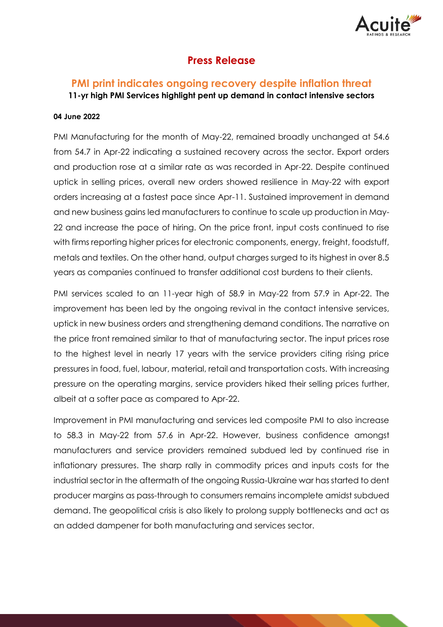

## **Press Release**

# **PMI print indicates ongoing recovery despite inflation threat**

**11-yr high PMI Services highlight pent up demand in contact intensive sectors**

### **04 June 2022**

PMI Manufacturing for the month of May-22, remained broadly unchanged at 54.6 from 54.7 in Apr-22 indicating a sustained recovery across the sector. Export orders and production rose at a similar rate as was recorded in Apr-22. Despite continued uptick in selling prices, overall new orders showed resilience in May-22 with export orders increasing at a fastest pace since Apr-11. Sustained improvement in demand and new business gains led manufacturers to continue to scale up production in May-22 and increase the pace of hiring. On the price front, input costs continued to rise with firms reporting higher prices for electronic components, energy, freight, foodstuff, metals and textiles. On the other hand, output charges surged to its highest in over 8.5 years as companies continued to transfer additional cost burdens to their clients.

PMI services scaled to an 11-year high of 58.9 in May-22 from 57.9 in Apr-22. The improvement has been led by the ongoing revival in the contact intensive services, uptick in new business orders and strengthening demand conditions. The narrative on the price front remained similar to that of manufacturing sector. The input prices rose to the highest level in nearly 17 years with the service providers citing rising price pressures in food, fuel, labour, material, retail and transportation costs. With increasing pressure on the operating margins, service providers hiked their selling prices further, albeit at a softer pace as compared to Apr-22.

Improvement in PMI manufacturing and services led composite PMI to also increase to 58.3 in May-22 from 57.6 in Apr-22. However, business confidence amongst manufacturers and service providers remained subdued led by continued rise in inflationary pressures. The sharp rally in commodity prices and inputs costs for the industrial sector in the aftermath of the ongoing Russia-Ukraine war has started to dent producer margins as pass-through to consumers remains incomplete amidst subdued demand. The geopolitical crisis is also likely to prolong supply bottlenecks and act as an added dampener for both manufacturing and services sector.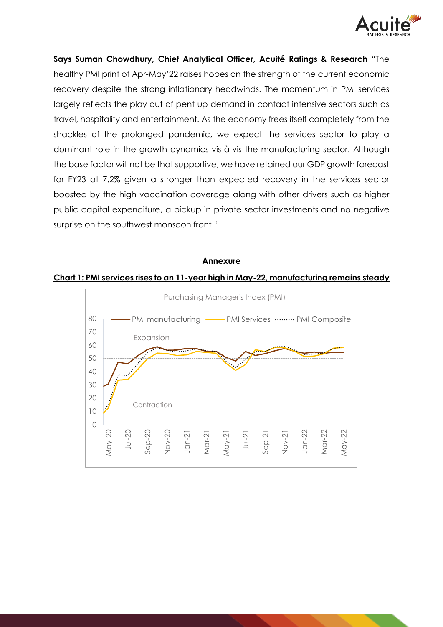

**Says Suman Chowdhury, Chief Analytical Officer, Acuité Ratings & Research** "The healthy PMI print of Apr-May'22 raises hopes on the strength of the current economic recovery despite the strong inflationary headwinds. The momentum in PMI services largely reflects the play out of pent up demand in contact intensive sectors such as travel, hospitality and entertainment. As the economy frees itself completely from the shackles of the prolonged pandemic, we expect the services sector to play a dominant role in the growth dynamics vis-à-vis the manufacturing sector. Although the base factor will not be that supportive, we have retained our GDP growth forecast for FY23 at 7.2% given a stronger than expected recovery in the services sector boosted by the high vaccination coverage along with other drivers such as higher public capital expenditure, a pickup in private sector investments and no negative surprise on the southwest monsoon front."

#### **Annexure**